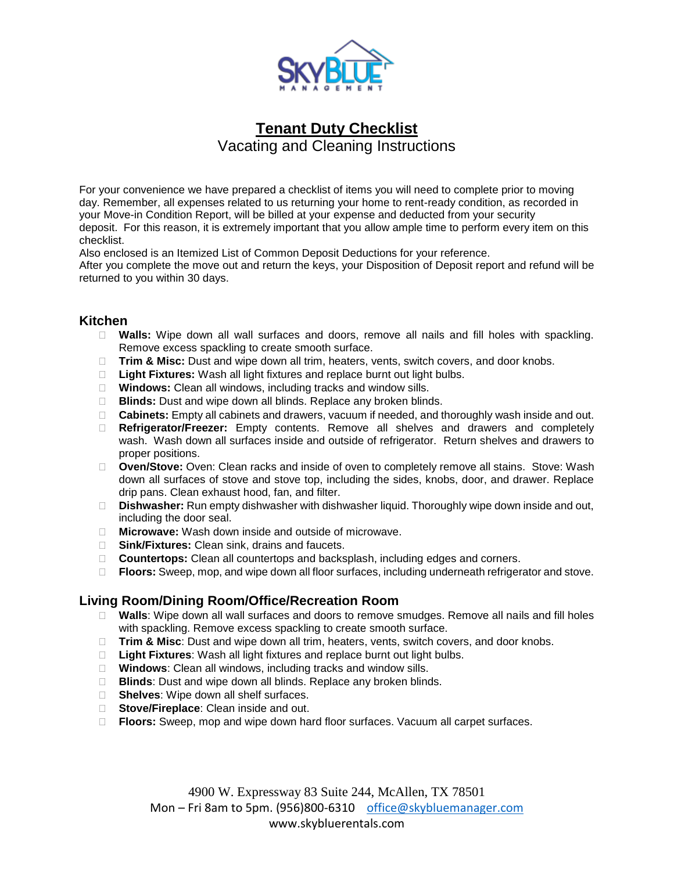

# **Tenant Duty Checklist** Vacating and Cleaning Instructions

For your convenience we have prepared a checklist of items you will need to complete prior to moving day. Remember, all expenses related to us returning your home to rent-ready condition, as recorded in your Move-in Condition Report, will be billed at your expense and deducted from your security deposit. For this reason, it is extremely important that you allow ample time to perform every item on this checklist.

Also enclosed is an Itemized List of Common Deposit Deductions for your reference. After you complete the move out and return the keys, your Disposition of Deposit report and refund will be

returned to you within 30 days.

#### **Kitchen**

- **Walls:** Wipe down all wall surfaces and doors, remove all nails and fill holes with spackling. Remove excess spackling to create smooth surface.
- **Trim & Misc:** Dust and wipe down all trim, heaters, vents, switch covers, and door knobs.
- □ Light Fixtures: Wash all light fixtures and replace burnt out light bulbs.
- **Windows:** Clean all windows, including tracks and window sills.
- **Blinds:** Dust and wipe down all blinds. Replace any broken blinds.
- **Cabinets:** Empty all cabinets and drawers, vacuum if needed, and thoroughly wash inside and out.
- **Refrigerator/Freezer:** Empty contents. Remove all shelves and drawers and completely wash. Wash down all surfaces inside and outside of refrigerator. Return shelves and drawers to proper positions.
- **Oven/Stove:** Oven: Clean racks and inside of oven to completely remove all stains. Stove: Wash down all surfaces of stove and stove top, including the sides, knobs, door, and drawer. Replace drip pans. Clean exhaust hood, fan, and filter.
- **Dishwasher:** Run empty dishwasher with dishwasher liquid. Thoroughly wipe down inside and out, including the door seal.
- **Microwave:** Wash down inside and outside of microwave.
- **Sink/Fixtures:** Clean sink, drains and faucets.
- **Countertops:** Clean all countertops and backsplash, including edges and corners.
- **Floors:** Sweep, mop, and wipe down all floor surfaces, including underneath refrigerator and stove.

# **Living Room/Dining Room/Office/Recreation Room**

- **Walls**: Wipe down all wall surfaces and doors to remove smudges. Remove all nails and fill holes with spackling. Remove excess spackling to create smooth surface.
- **Trim & Misc**: Dust and wipe down all trim, heaters, vents, switch covers, and door knobs.
- □ Light Fixtures: Wash all light fixtures and replace burnt out light bulbs.
- **Windows**: Clean all windows, including tracks and window sills.
- **Blinds:** Dust and wipe down all blinds. Replace any broken blinds.
- □ **Shelves**: Wipe down all shelf surfaces.
- **Stove/Fireplace**: Clean inside and out.
- **Floors:** Sweep, mop and wipe down hard floor surfaces. Vacuum all carpet surfaces.